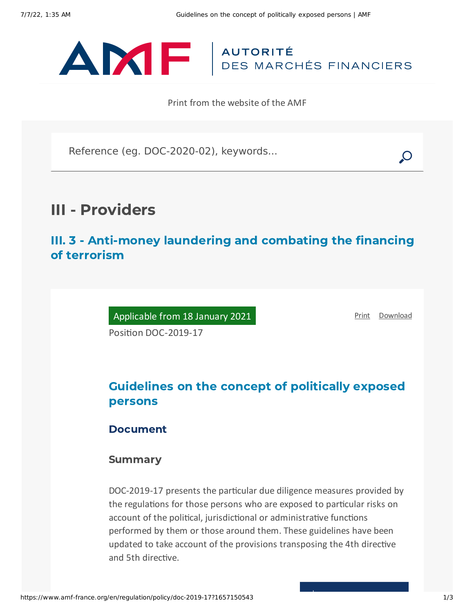

Print from the website of the AMF

Reference (eg. DOC-2020-02), keywords...

# III - Providers

III. 3 - Anti-money laundering and combating the financing of terrorism

Applicable from 18 January 2021

[Print](javascript:window.print()) [Download](https://www.amf-france.org/sites/default/files/pdf/62875/en/Guidelines_on_the_concept_of_politically_exposed_persons.pdf?1657150545)

Position DOC-2019-17

# Guidelines on the concept of politically exposed persons

## Document

### Summary

DOC-2019-17 presents the particular due diligence measures provided by the regulations for those persons who are exposed to particular risks on account of the political, jurisdictional or administrative functions performed by them or those around them. These guidelines have been updated to take account of the provisions transposing the 4th directive and 5th directive.

T,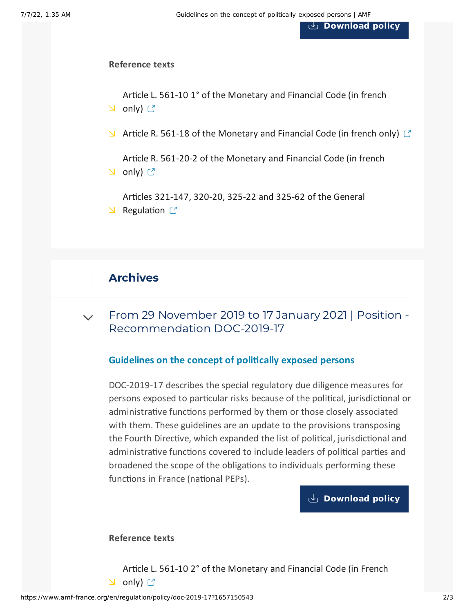**[Download](https://www.amf-france.org/sites/default/files/private/2021-02/doc-2019-17_va2_ld-ppe_relu_sm.pdf) policy**

#### **Reference texts**

Article L. 561-10 1° of the [Monetary](https://www.legifrance.gouv.fr/codes/id/LEGIARTI000038613667/2019-11-29/) and Financial Code (in french **N** only) C

 $\blacktriangleright$  Article R. 561-18 of the [Monetary](https://www.legifrance.gouv.fr/codes/id/LEGIARTI000036824721/2019-11-29/) and Financial Code (in french only)  $\heartsuit$ 

Article R. 561-20-2 of the [Monetary](https://www.legifrance.gouv.fr/codes/id/LEGIARTI000036822489/2019-11-29/) and Financial Code (in french  $\cup$  only)  $\mathbb{C}$ 

Articles 321-147, 320-20, 325-22 and 325-62 of the General  $\vee$  [Regulation](https://reglement-general.amf-france.org/eli/fr/aai/amf/rg/en.html)  $\circ$ 

# Archives

From 29 November 2019 to 17 January 2021 | Position - [Recommendation](#page-1-0) DOC-2019-17  $\vee$ 

#### **Guidelines on the concept of politically exposed persons**

<span id="page-1-0"></span>DOC-2019-17 describes the special regulatory due diligence measures for persons exposed to particular risks because of the political, jurisdictional or administrative functions performed by them or those closely associated with them. These guidelines are an update to the provisions transposing the Fourth Directive, which expanded the list of political, jurisdictional and administrative functions covered to include leaders of political parties and broadened the scope of the obligations to individuals performing these functions in France (national PEPs).

### **[Download](https://www.amf-france.org/sites/default/files/doctrine/en/Position/DOC-2019-17/1.0/Guidelines%20on%20the%20concept%20of%20politically%20exposed%20persons.pdf) policy**

#### **Reference texts**

Article L. 561-10 2° of the [Monetary](https://www.legifrance.gouv.fr/affichCodeArticle.do?idArticle=LEGIARTI000038613667&cidTexte=LEGITEXT000006072026&dateTexte=20191129) and Financial Code (in French  $\cup$  only)  $\mathbb{C}$